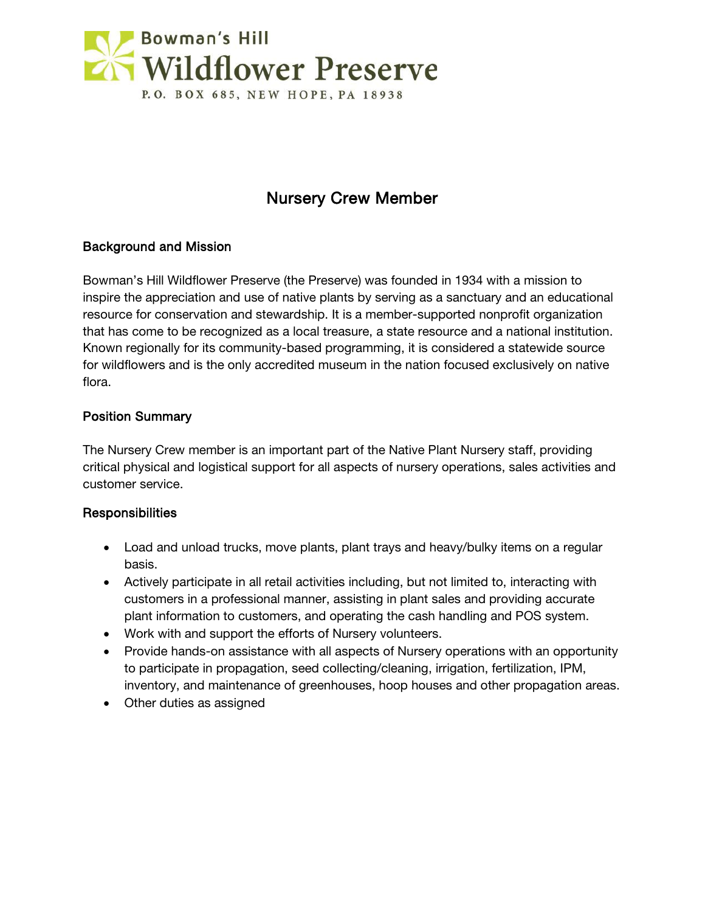

# Nursery Crew Member

# Background and Mission

Bowman's Hill Wildflower Preserve (the Preserve) was founded in 1934 with a mission to inspire the appreciation and use of native plants by serving as a sanctuary and an educational resource for conservation and stewardship. It is a member-supported nonprofit organization that has come to be recognized as a local treasure, a state resource and a national institution. Known regionally for its community-based programming, it is considered a statewide source for wildflowers and is the only accredited museum in the nation focused exclusively on native flora.

#### Position Summary

The Nursery Crew member is an important part of the Native Plant Nursery staff, providing critical physical and logistical support for all aspects of nursery operations, sales activities and customer service.

#### **Responsibilities**

- Load and unload trucks, move plants, plant trays and heavy/bulky items on a regular basis.
- Actively participate in all retail activities including, but not limited to, interacting with customers in a professional manner, assisting in plant sales and providing accurate plant information to customers, and operating the cash handling and POS system.
- Work with and support the efforts of Nursery volunteers.
- Provide hands-on assistance with all aspects of Nursery operations with an opportunity to participate in propagation, seed collecting/cleaning, irrigation, fertilization, IPM, inventory, and maintenance of greenhouses, hoop houses and other propagation areas.
- Other duties as assigned